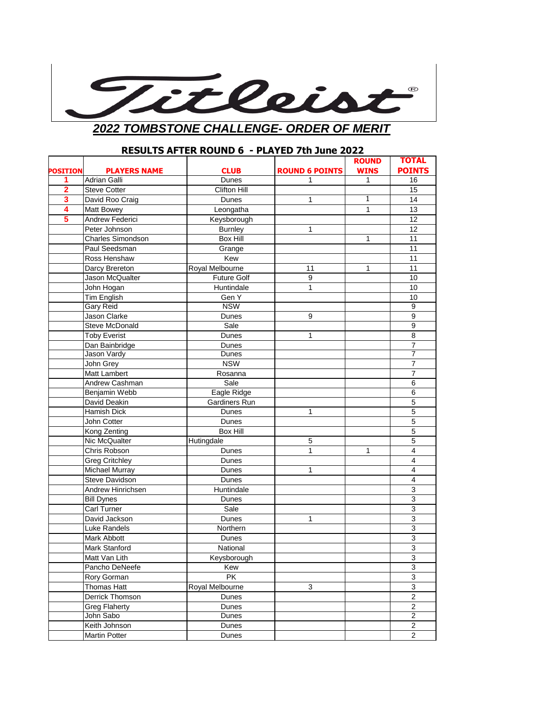

## **RESULTS AFTER ROUND 6 - PLAYED 7th June 2022**

|                 |                          |                 |                       | <b>ROUND</b> | <b>TOTAL</b>              |
|-----------------|--------------------------|-----------------|-----------------------|--------------|---------------------------|
| <b>POSITION</b> | <b>PLAYERS NAME</b>      | <b>CLUB</b>     | <b>ROUND 6 POINTS</b> | <b>WINS</b>  | <b>POINTS</b>             |
| 1               | Adrian Galli             | Dunes           |                       | 1            | 16                        |
| $\overline{2}$  | <b>Steve Cotter</b>      | Clifton Hill    |                       |              | $\overline{15}$           |
| 3               | David Roo Craig          | Dunes           | 1                     | 1            | 14                        |
| 4               | Matt Bowey               | Leongatha       |                       | 1            | 13                        |
| 5               | Andrew Federici          | Keysborough     |                       |              | 12                        |
|                 | Peter Johnson            | <b>Burnley</b>  | 1                     |              | 12                        |
|                 | <b>Charles Simondson</b> | <b>Box Hill</b> |                       | 1            | 11                        |
|                 | Paul Seedsman            | Grange          |                       |              | 11                        |
|                 | Ross Henshaw             | Kew             |                       |              | 11                        |
|                 | Darcy Brereton           | Royal Melbourne | 11                    | 1            | 11                        |
|                 | Jason McQualter          | Future Golf     | 9                     |              | 10                        |
|                 | John Hogan               | Huntindale      | 1                     |              | 10                        |
|                 | Tim English              | Gen Y           |                       |              | 10                        |
|                 | <b>Gary Reid</b>         | <b>NSW</b>      |                       |              | $\boldsymbol{9}$          |
|                 | Jason Clarke             | Dunes           | 9                     |              | 9                         |
|                 | <b>Steve McDonald</b>    | Sale            |                       |              | $\boldsymbol{9}$          |
|                 | <b>Toby Everist</b>      | Dunes           | 1                     |              | $\overline{8}$            |
|                 | Dan Bainbridge           | Dunes           |                       |              | $\overline{7}$            |
|                 | Jason Vardy              | Dunes           |                       |              | 7                         |
|                 | John Grey                | <b>NSW</b>      |                       |              | $\overline{7}$            |
|                 | Matt Lambert             | Rosanna         |                       |              | $\overline{7}$            |
|                 | Andrew Cashman           | Sale            |                       |              | 6                         |
|                 | Benjamin Webb            | Eagle Ridge     |                       |              | 6                         |
|                 | David Deakin             | Gardiners Run   |                       |              | 5                         |
|                 | Hamish Dick              | Dunes           | 1                     |              | $\overline{5}$            |
|                 | John Cotter              | Dunes           |                       |              | $\overline{5}$            |
|                 | Kong Zenting             | <b>Box Hill</b> |                       |              | 5                         |
|                 | Nic McQualter            | Hutingdale      | 5                     |              | 5                         |
|                 | Chris Robson             | Dunes           | $\mathbf{1}$          | 1            | 4                         |
|                 | <b>Greg Critchley</b>    | Dunes           |                       |              | 4                         |
|                 | <b>Michael Murray</b>    | Dunes           | 1                     |              | $\overline{\mathbf{4}}$   |
|                 | Steve Davidson           | Dunes           |                       |              | $\overline{4}$            |
|                 | Andrew Hinrichsen        | Huntindale      |                       |              | 3                         |
|                 | <b>Bill Dynes</b>        | Dunes           |                       |              | 3                         |
|                 | Carl Turner              | Sale            |                       |              | 3                         |
|                 | David Jackson            | Dunes           | 1                     |              | 3                         |
|                 | Luke Randels             | Northern        |                       |              | $\overline{3}$            |
|                 | Mark Abbott              | Dunes           |                       |              | 3                         |
|                 | Mark Stanford            | National        |                       |              | $\overline{3}$            |
|                 | Matt Van Lith            | Keysborough     |                       |              | 3                         |
|                 | Pancho DeNeefe           | Kew             |                       |              | 3                         |
|                 | Rory Gorman              | <b>PK</b>       |                       |              | $\overline{3}$            |
|                 | <b>Thomas Hatt</b>       | Royal Melbourne | 3                     |              | $\ensuremath{\mathsf{3}}$ |
|                 | Derrick Thomson          | Dunes           |                       |              | $\overline{2}$            |
|                 | <b>Greg Flaherty</b>     | Dunes           |                       |              | $\overline{2}$            |
|                 | John Sabo                | Dunes           |                       |              | $\overline{c}$            |
|                 | Keith Johnson            | Dunes           |                       |              | $\overline{c}$            |
|                 | Martin Potter            | Dunes           |                       |              | $\overline{c}$            |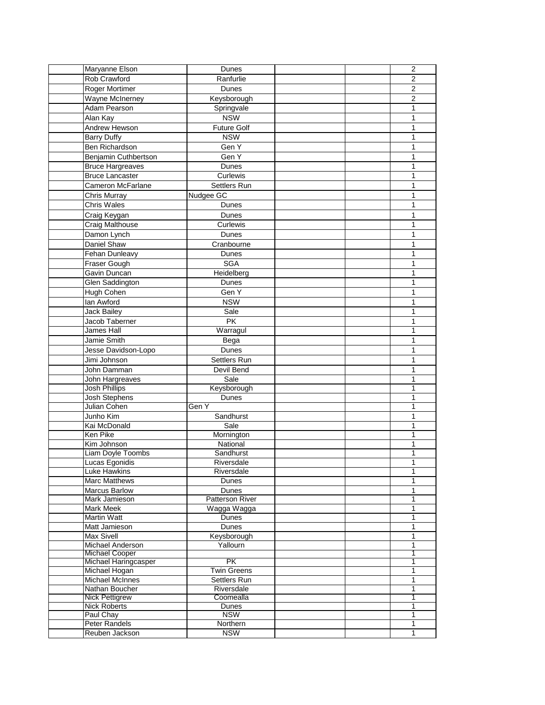| Maryanne Elson                  | Dunes                   |  | $\overline{2}$ |        |
|---------------------------------|-------------------------|--|----------------|--------|
| Rob Crawford                    | Ranfurlie               |  |                | 2      |
| Roger Mortimer                  | Dunes                   |  | $\overline{c}$ |        |
| Wayne McInerney                 | Keysborough             |  | $\overline{2}$ |        |
| Adam Pearson                    | Springvale              |  |                | 1      |
| Alan Kay                        | <b>NSW</b>              |  |                | 1      |
| Andrew Hewson                   | <b>Future Golf</b>      |  | 1              |        |
| <b>Barry Duffy</b>              | <b>NSW</b>              |  |                | 1      |
| Ben Richardson                  | Gen Y                   |  |                | 1      |
| Benjamin Cuthbertson            | Gen Y                   |  |                | 1      |
| <b>Bruce Hargreaves</b>         | Dunes                   |  |                | 1      |
| <b>Bruce Lancaster</b>          | Curlewis                |  |                | 1      |
| <b>Cameron McFarlane</b>        | Settlers Run            |  |                | 1      |
| Chris Murray                    | Nudgee GC               |  | 1              |        |
| <b>Chris Wales</b>              | Dunes                   |  |                | 1      |
| Craig Keygan                    | Dunes                   |  |                | 1      |
| Craig Malthouse                 | Curlewis                |  |                | 1      |
| Damon Lynch                     | Dunes                   |  |                | 1      |
| Daniel Shaw                     |                         |  |                | 1      |
|                                 | Cranbourne              |  |                | 1      |
| Fehan Dunleavy                  | Dunes<br><b>SGA</b>     |  |                |        |
| Fraser Gough<br>Gavin Duncan    |                         |  | 1              |        |
| Glen Saddington                 | Heidelberg<br>Dunes     |  | 1              | 1      |
| Hugh Cohen                      | Gen Y                   |  | 1              |        |
| lan Awford                      | <b>NSW</b>              |  |                | 1      |
| <b>Jack Bailey</b>              |                         |  |                |        |
| Jacob Taberner                  | Sale<br><b>PK</b>       |  | 1              |        |
| James Hall                      | Warragul                |  |                | 1<br>1 |
| Jamie Smith                     | Bega                    |  |                | 1      |
| Jesse Davidson-Lopo             | Dunes                   |  |                | 1      |
| Jimi Johnson                    | Settlers Run            |  |                | 1      |
| John Damman                     | Devil Bend              |  | 1              |        |
| John Hargreaves                 | Sale                    |  |                | 1      |
| <b>Josh Phillips</b>            | Keysborough             |  | 1              |        |
| <b>Josh Stephens</b>            | Dunes                   |  | 1              |        |
| Julian Cohen                    | Gen Y                   |  | 1              |        |
| Junho Kim                       | Sandhurst               |  | 1              |        |
| Kai McDonald                    | Sale                    |  |                | 1      |
| Ken Pike                        | Mornington              |  |                | 1      |
| Kim Johnson                     | National                |  | 1              |        |
| <b>Liam Doyle Toombs</b>        | Sandhurst               |  |                | 1      |
| Lucas Egonidis                  | Riversdale              |  |                | 1      |
| Luke Hawkins                    | Riversdale              |  |                | 1      |
| Marc Matthews                   | Dunes                   |  |                | 1      |
| <b>Marcus Barlow</b>            | Dunes                   |  |                | 1      |
| Mark Jamieson                   | Patterson River         |  |                | 1      |
| Mark Meek                       | Wagga Wagga             |  |                | 1      |
| Martin Watt                     | <b>Dunes</b>            |  |                | 1      |
| Matt Jamieson                   | Dunes                   |  |                | 1      |
| Max Sivell<br>Michael Anderson  | Keysborough<br>Yallourn |  | 1              |        |
| <b>Michael Cooper</b>           |                         |  | 1              | 1      |
| Michael Haringcasper            | PK                      |  | 1              |        |
| Michael Hogan                   | <b>Twin Greens</b>      |  |                | 1      |
| <b>Michael McInnes</b>          | Settlers Run            |  |                | 1      |
| Nathan Boucher                  | Riversdale              |  | 1              |        |
| <b>Nick Pettigrew</b>           | Coomealla               |  | 1              |        |
| <b>Nick Roberts</b>             | <b>Dunes</b>            |  | 1              |        |
| Paul Chay                       | <b>NSW</b>              |  |                | 1      |
| Peter Randels<br>Reuben Jackson | Northern<br><b>NSW</b>  |  |                | 1<br>1 |
|                                 |                         |  |                |        |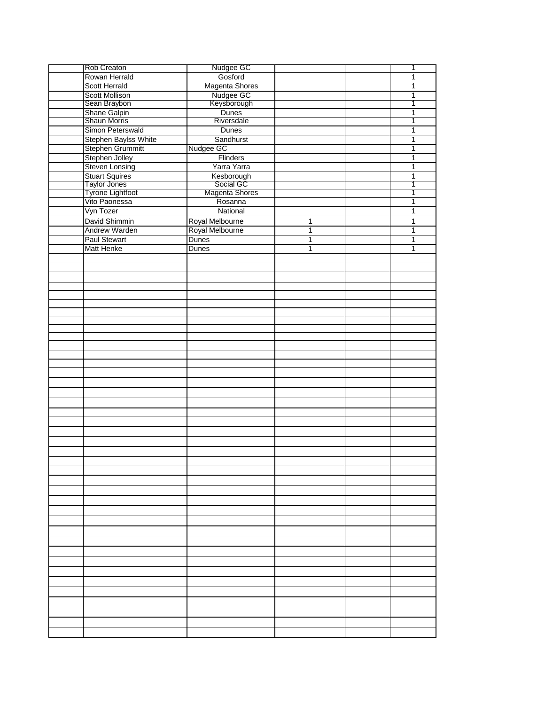| Rob Creaton                  | Nudgee GC             |              | 1              |
|------------------------------|-----------------------|--------------|----------------|
| Rowan Herrald                | Gosford               |              | 1              |
| <b>Scott Herrald</b>         | Magenta Shores        |              | 1              |
| <b>Scott Mollison</b>        | Nudgee GC             |              | 1              |
| Sean Braybon                 | <b>Keysborough</b>    |              | 1              |
|                              | Dunes                 |              | $\mathbf{1}$   |
| Shane Galpin<br>Shaun Morris | Riversdale            |              | 1              |
| Simon Peterswald             | <b>Dunes</b>          |              | $\mathbf 1$    |
| Stephen Baylss White         | Sandhurst             |              | 1              |
|                              |                       |              |                |
| Stephen Grummitt             | Nudgee GC             |              | 1              |
| Stephen Jolley               | Flinders              |              | 1              |
| <b>Steven Lonsing</b>        | Yarra Yarra           |              | 1              |
| <b>Stuart Squires</b>        | Kesborough            |              | 1              |
| Taylor Jones                 | Social GC             |              | 1              |
| Tyrone Lightfoot             | <b>Magenta Shores</b> |              | 1              |
| Vito Paonessa                | Rosanna               |              | 1              |
| Vyn Tozer                    | National              |              | 1              |
| David Shimmin                | Royal Melbourne       | 1            | $\mathbf{1}$   |
| Andrew Warden                | Royal Melbourne       | 1            | $\mathbf{1}$   |
| Paul Stewart                 | <b>Dunes</b>          | $\mathbf{1}$ | $\overline{1}$ |
| <b>Matt Henke</b>            | <b>Dunes</b>          | $\mathbf{1}$ | $\mathbf{1}$   |
|                              |                       |              |                |
|                              |                       |              |                |
|                              |                       |              |                |
|                              |                       |              |                |
|                              |                       |              |                |
|                              |                       |              |                |
|                              |                       |              |                |
|                              |                       |              |                |
|                              |                       |              |                |
|                              |                       |              |                |
|                              |                       |              |                |
|                              |                       |              |                |
|                              |                       |              |                |
|                              |                       |              |                |
|                              |                       |              |                |
|                              |                       |              |                |
|                              |                       |              |                |
|                              |                       |              |                |
|                              |                       |              |                |
|                              |                       |              |                |
|                              |                       |              |                |
|                              |                       |              |                |
|                              |                       |              |                |
|                              |                       |              |                |
|                              |                       |              |                |
|                              |                       |              |                |
|                              |                       |              |                |
|                              |                       |              |                |
|                              |                       |              |                |
|                              |                       |              |                |
|                              |                       |              |                |
|                              |                       |              |                |
|                              |                       |              |                |
|                              |                       |              |                |
|                              |                       |              |                |
|                              |                       |              |                |
|                              |                       |              |                |
|                              |                       |              |                |
|                              |                       |              |                |
|                              |                       |              |                |
|                              |                       |              |                |
|                              |                       |              |                |
|                              |                       |              |                |
|                              |                       |              |                |
|                              |                       |              |                |